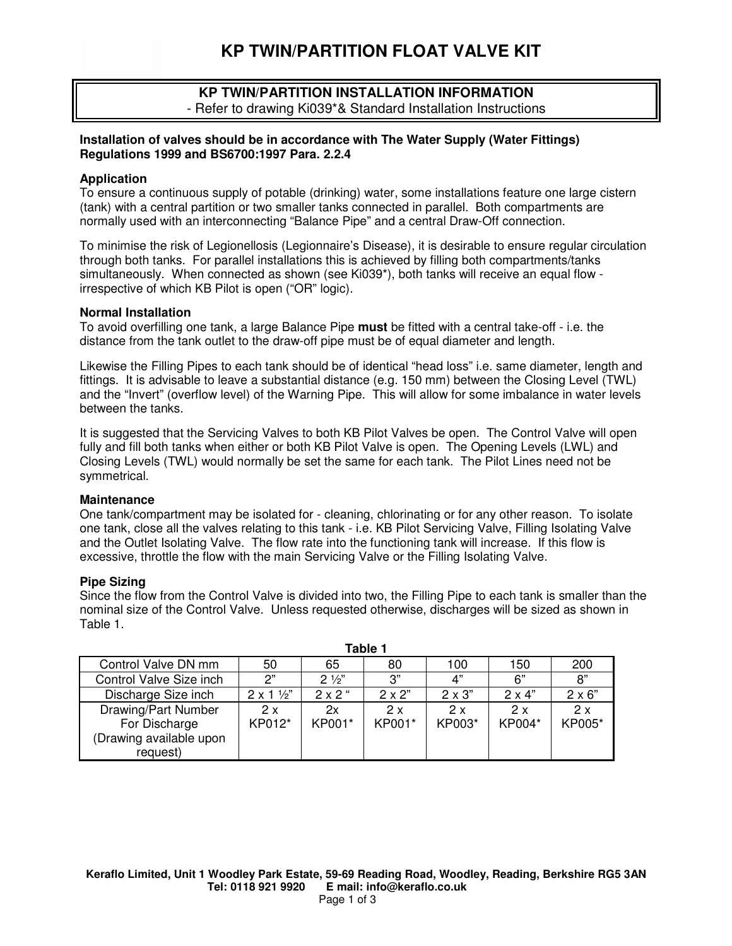**KP TWIN/PARTITION FLOAT VALVE KIT** 



## **Installation of valves should be in accordance with The Water Supply (Water Fittings) Regulations 1999 and BS6700:1997 Para. 2.2.4**

## **Application**

Keraflo OUR WORLD IS WATE

To ensure a continuous supply of potable (drinking) water, some installations feature one large cistern (tank) with a central partition or two smaller tanks connected in parallel. Both compartments are normally used with an interconnecting "Balance Pipe" and a central Draw-Off connection.

To minimise the risk of Legionellosis (Legionnaire's Disease), it is desirable to ensure regular circulation through both tanks. For parallel installations this is achieved by filling both compartments/tanks simultaneously. When connected as shown (see Ki039\*), both tanks will receive an equal flow irrespective of which KB Pilot is open ("OR" logic).

#### **Normal Installation**

To avoid overfilling one tank, a large Balance Pipe **must** be fitted with a central take-off - i.e. the distance from the tank outlet to the draw-off pipe must be of equal diameter and length.

Likewise the Filling Pipes to each tank should be of identical "head loss" i.e. same diameter, length and fittings. It is advisable to leave a substantial distance (e.g. 150 mm) between the Closing Level (TWL) and the "Invert" (overflow level) of the Warning Pipe. This will allow for some imbalance in water levels between the tanks.

It is suggested that the Servicing Valves to both KB Pilot Valves be open. The Control Valve will open fully and fill both tanks when either or both KB Pilot Valve is open. The Opening Levels (LWL) and Closing Levels (TWL) would normally be set the same for each tank. The Pilot Lines need not be symmetrical.

## **Maintenance**

One tank/compartment may be isolated for - cleaning, chlorinating or for any other reason. To isolate one tank, close all the valves relating to this tank - i.e. KB Pilot Servicing Valve, Filling Isolating Valve and the Outlet Isolating Valve. The flow rate into the functioning tank will increase. If this flow is excessive, throttle the flow with the main Servicing Valve or the Filling Isolating Valve.

## **Pipe Sizing**

Since the flow from the Control Valve is divided into two, the Filling Pipe to each tank is smaller than the nominal size of the Control Valve. Unless requested otherwise, discharges will be sized as shown in Table 1.

**Table 1** 

| Table T                 |                          |                |                |               |               |               |
|-------------------------|--------------------------|----------------|----------------|---------------|---------------|---------------|
| Control Valve DN mm     | 50                       | 65             | 80             | 100           | 150           | 200           |
| Control Valve Size inch | 2"                       | $2\frac{1}{2}$ | 3"             | 4"            | 6"            | 8"            |
| Discharge Size inch     | $2 \times 1 \frac{1}{2}$ | $2x2$ "        | $2 \times 2$ " | $2 \times 3"$ | $2 \times 4"$ | $2 \times 6"$ |
| Drawing/Part Number     | 2x                       | 2x             | 2x             | 2x            | 2x            | 2x            |
| For Discharge           | KP012*                   | KP001*         | KP001*         | KP003*        | KP004*        | KP005*        |
| (Drawing available upon |                          |                |                |               |               |               |
| request)                |                          |                |                |               |               |               |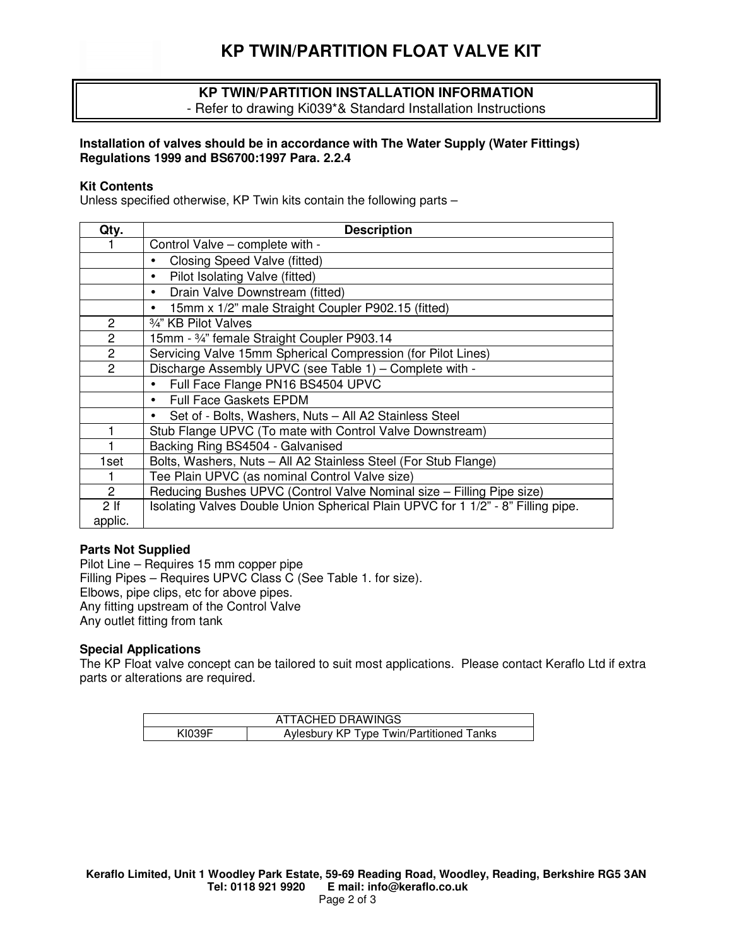

## **KP TWIN/PARTITION INSTALLATION INFORMATION**  - Refer to drawing Ki039\*& Standard Installation Instructions

## **Installation of valves should be in accordance with The Water Supply (Water Fittings) Regulations 1999 and BS6700:1997 Para. 2.2.4**

## **Kit Contents**

Unless specified otherwise, KP Twin kits contain the following parts –

| Qty.            | <b>Description</b>                                                               |  |  |  |  |
|-----------------|----------------------------------------------------------------------------------|--|--|--|--|
|                 | Control Valve – complete with -                                                  |  |  |  |  |
|                 | Closing Speed Valve (fitted)<br>$\bullet$                                        |  |  |  |  |
|                 | Pilot Isolating Valve (fitted)<br>٠                                              |  |  |  |  |
|                 | Drain Valve Downstream (fitted)<br>٠                                             |  |  |  |  |
|                 | 15mm x 1/2" male Straight Coupler P902.15 (fitted)                               |  |  |  |  |
| $\overline{2}$  | 3/4" KB Pilot Valves                                                             |  |  |  |  |
| $\overline{2}$  | 15mm - 3/4" female Straight Coupler P903.14                                      |  |  |  |  |
| $\overline{2}$  | Servicing Valve 15mm Spherical Compression (for Pilot Lines)                     |  |  |  |  |
| $\overline{2}$  | Discharge Assembly UPVC (see Table 1) - Complete with -                          |  |  |  |  |
|                 | Full Face Flange PN16 BS4504 UPVC                                                |  |  |  |  |
|                 | <b>Full Face Gaskets EPDM</b><br>$\bullet$                                       |  |  |  |  |
|                 | Set of - Bolts, Washers, Nuts - All A2 Stainless Steel<br>$\bullet$              |  |  |  |  |
|                 | Stub Flange UPVC (To mate with Control Valve Downstream)                         |  |  |  |  |
|                 | Backing Ring BS4504 - Galvanised                                                 |  |  |  |  |
| 1set            | Bolts, Washers, Nuts - All A2 Stainless Steel (For Stub Flange)                  |  |  |  |  |
| 1.              | Tee Plain UPVC (as nominal Control Valve size)                                   |  |  |  |  |
| 2               | Reducing Bushes UPVC (Control Valve Nominal size - Filling Pipe size)            |  |  |  |  |
| 2 <sub>lf</sub> | Isolating Valves Double Union Spherical Plain UPVC for 1 1/2" - 8" Filling pipe. |  |  |  |  |
| applic.         |                                                                                  |  |  |  |  |

## **Parts Not Supplied**

Pilot Line – Requires 15 mm copper pipe Filling Pipes – Requires UPVC Class C (See Table 1. for size). Elbows, pipe clips, etc for above pipes. Any fitting upstream of the Control Valve Any outlet fitting from tank

## **Special Applications**

The KP Float valve concept can be tailored to suit most applications. Please contact Keraflo Ltd if extra parts or alterations are required.

| ATTACHED DRAWINGS |                                          |  |  |
|-------------------|------------------------------------------|--|--|
| KI039F            | Aylesbury KP Type Twin/Partitioned Tanks |  |  |